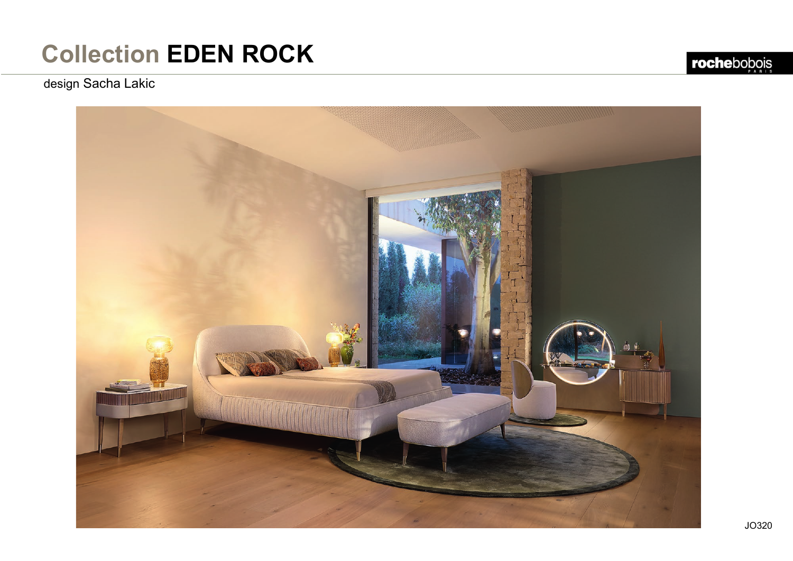design Sacha Lakic

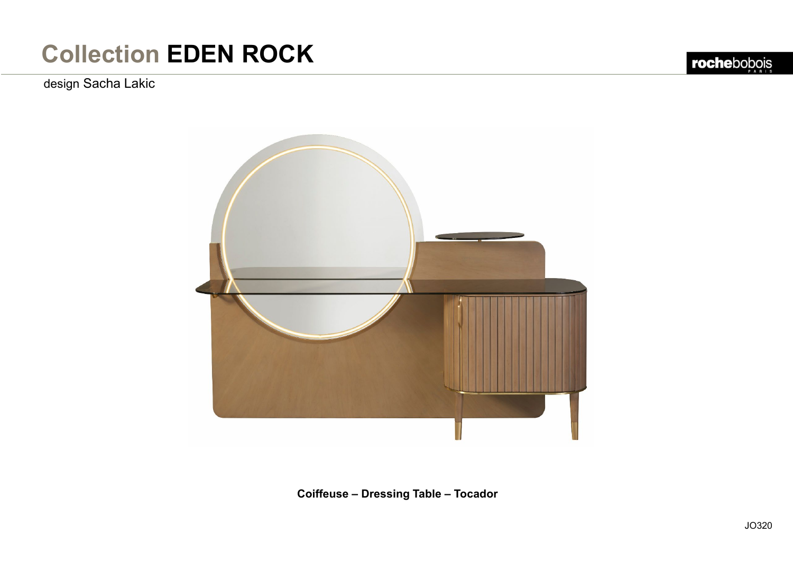### design Sacha Lakic



**Coiffeuse – Dressing Table – Tocador**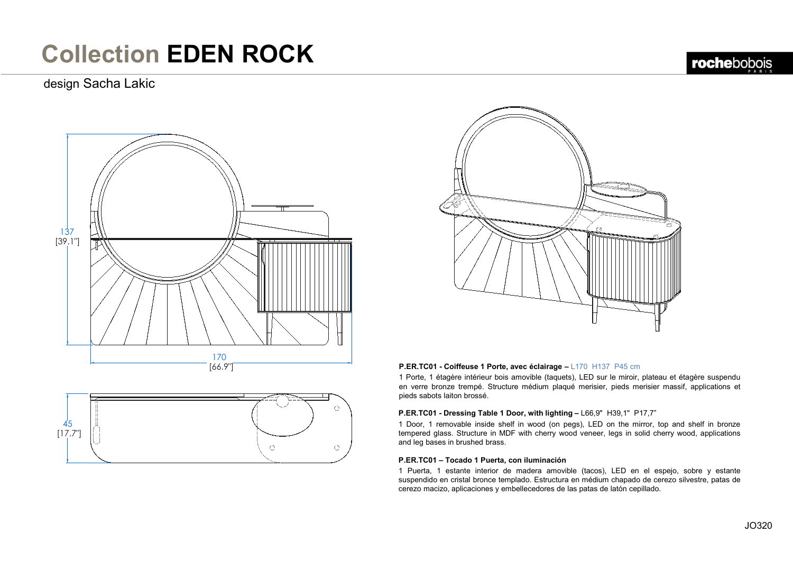### design Sacha Lakic







### **P.ER.TC01 - Coiffeuse 1 Porte, avec éclairage –** L170 H137 P45 cm

1 Porte, 1 étagère intérieur bois amovible (taquets), LED sur le miroir, plateau et étagère suspendu en verre bronze trempé. Structure médium plaqué merisier, pieds merisier massif, applications et pieds sabots laiton brossé.

### **P.ER.TC01 - Dressing Table 1 Door, with lighting –** L66,9" H39,1" P17,7"

1 Door, 1 removable inside shelf in wood (on pegs), LED on the mirror, top and shelf in bronze tempered glass. Structure in MDF with cherry wood veneer, legs in solid cherry wood, applications and leg bases in brushed brass.

### **P.ER.TC01 – Tocado 1 Puerta, con iluminación**

1 Puerta, 1 estante interior de madera amovible (tacos), LED en el espejo, sobre y estante suspendido en cristal bronce templado. Estructura en médium chapado de cerezo silvestre, patas de cerezo macizo, aplicaciones y embellecedores de las patas de latón cepillado.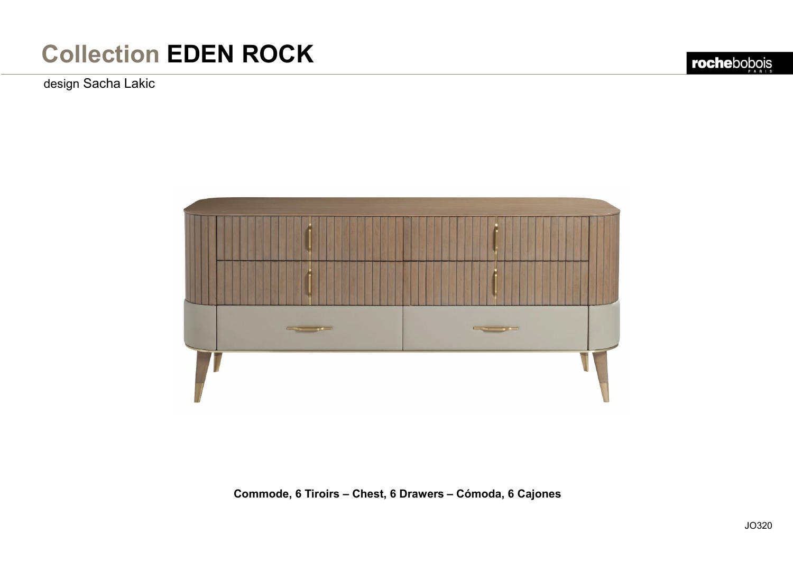design Sacha Lakic



**Commode, 6 Tiroirs – Chest, 6 Drawers – Cómoda, 6 Cajones**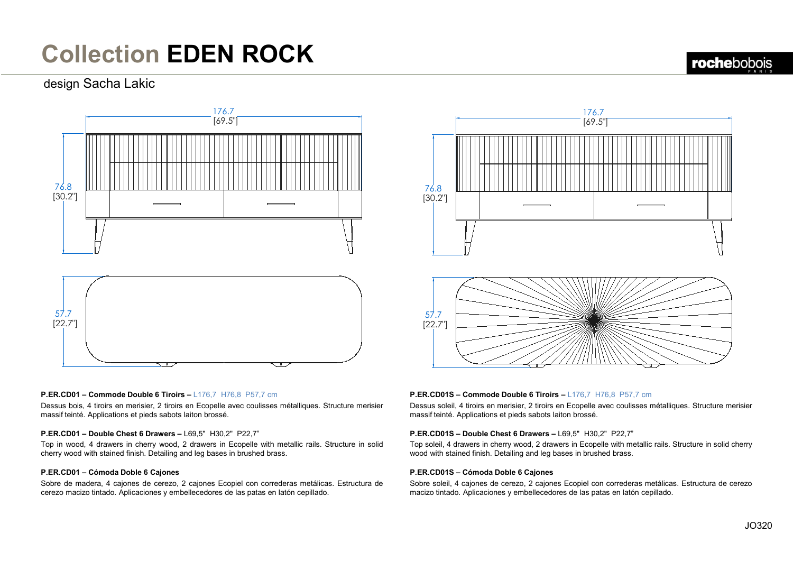### design Sacha Lakic



#### **P.ER.CD01 – Commode Double 6 Tiroirs –** L176,7 H76,8 P57,7 cm

Dessus bois, 4 tiroirs en merisier, 2 tiroirs en Ecopelle avec coulisses métalliques. Structure merisier massif teinté. Applications et pieds sabots laiton brossé.

#### **P.ER.CD01 – Double Chest 6 Drawers –** L69,5" H30,2" P22,7"

Top in wood, 4 drawers in cherry wood, 2 drawers in Ecopelle with metallic rails. Structure in solid cherry wood with stained finish. Detailing and leg bases in brushed brass.

### **P.ER.CD01 – Cómoda Doble 6 Cajones**

Sobre de madera, 4 cajones de cerezo, 2 cajones Ecopiel con correderas metálicas. Estructura de cerezo macizo tintado. Aplicaciones y embellecedores de las patas en latón cepillado.



### **P.ER.CD01S – Commode Double 6 Tiroirs –** L176,7 H76,8 P57,7 cm

Dessus soleil, 4 tiroirs en merisier, 2 tiroirs en Ecopelle avec coulisses métalliques. Structure merisier massif teinté. Applications et pieds sabots laiton brossé.

#### **P.ER.CD01S – Double Chest 6 Drawers –** L69,5" H30,2" P22,7"

Top soleil, 4 drawers in cherry wood, 2 drawers in Ecopelle with metallic rails. Structure in solid cherry wood with stained finish. Detailing and leg bases in brushed brass.

#### **P.ER.CD01S – Cómoda Doble 6 Cajones**

Sobre soleil, 4 cajones de cerezo, 2 cajones Ecopiel con correderas metálicas. Estructura de cerezo macizo tintado. Aplicaciones y embellecedores de las patas en latón cepillado.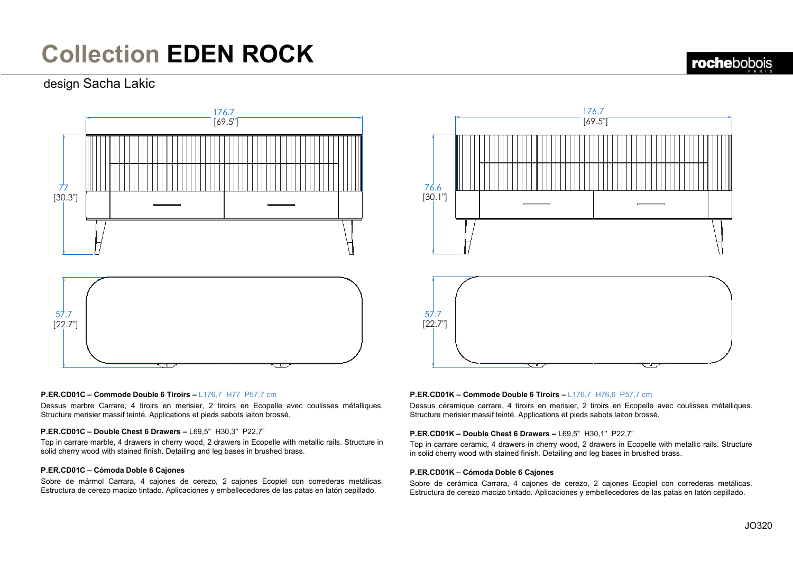### design Sacha Lakic



### **P.ER.CD01C – Commode Double 6 Tiroirs –** L176,7 H77 P57,7 cm

Dessus marbre Carrare, 4 tiroirs en merisier, 2 tiroirs en Ecopelle avec coulisses métalliques. Structure merisier massif teinté. Applications et pieds sabots laiton brossé.

### **P.ER.CD01C – Double Chest 6 Drawers –** L69,5" H30,3" P22,7"

Top in carrare marble, 4 drawers in cherry wood, 2 drawers in Ecopelle with metallic rails. Structure in solid cherry wood with stained finish. Detailing and leg bases in brushed brass.

### **P.ER.CD01C – Cómoda Doble 6 Cajones**

Sobre de mármol Carrara, 4 cajones de cerezo, 2 cajones Ecopiel con correderas metálicas. Estructura de cerezo macizo tintado. Aplicaciones y embellecedores de las patas en latón cepillado.

# 176.7 [69.5"] 76.6 [30.1"] 57.7 [22.7"]

### **P.ER.CD01K – Commode Double 6 Tiroirs –** L176,7 H76,6 P57,7 cm

Dessus céramique carrare, 4 tiroirs en merisier, 2 tiroirs en Ecopelle avec coulisses métalliques. Structure merisier massif teinté. Applications et pieds sabots laiton brossé.

#### **P.ER.CD01K – Double Chest 6 Drawers –** L69,5" H30,1" P22,7"

Top in carrare ceramic, 4 drawers in cherry wood, 2 drawers in Ecopelle with metallic rails. Structure in solid cherry wood with stained finish. Detailing and leg bases in brushed brass.

### **P.ER.CD01K – Cómoda Doble 6 Cajones**

Sobre de cerámica Carrara, 4 cajones de cerezo, 2 cajones Ecopiel con correderas metálicas. Estructura de cerezo macizo tintado. Aplicaciones y embellecedores de las patas en latón cepillado.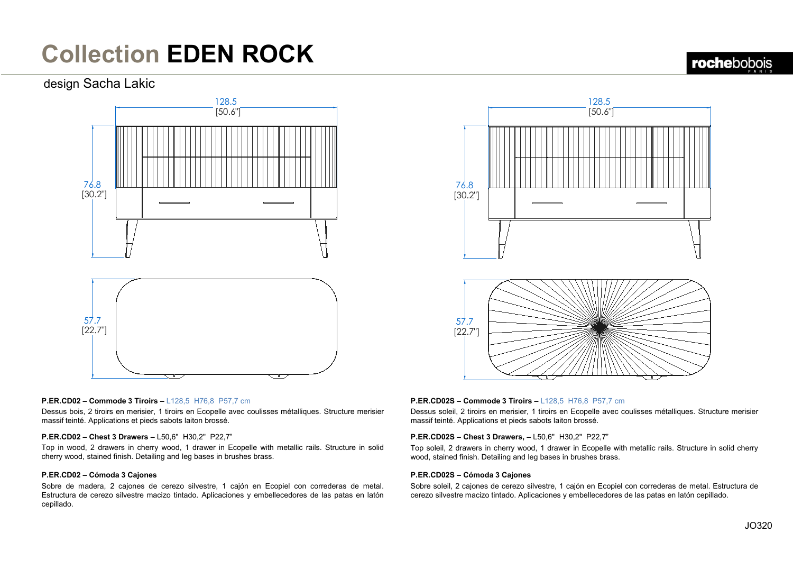### design Sacha Lakic





# $57.7$ [22.7"]

### **P.ER.CD02 – Commode 3 Tiroirs –** L128,5 H76,8 P57,7 cm

Dessus bois, 2 tiroirs en merisier, 1 tiroirs en Ecopelle avec coulisses métalliques. Structure merisier massif teinté. Applications et pieds sabots laiton brossé.

### **P.ER.CD02 – Chest 3 Drawers –** L50,6" H30,2" P22,7"

Top in wood, 2 drawers in cherry wood, 1 drawer in Ecopelle with metallic rails. Structure in solid cherry wood, stained finish. Detailing and leg bases in brushes brass.

### **P.ER.CD02 – Cómoda 3 Cajones**

Sobre de madera, 2 cajones de cerezo silvestre, 1 cajón en Ecopiel con correderas de metal. Estructura de cerezo silvestre macizo tintado. Aplicaciones y embellecedores de las patas en latón cepillado.

### **P.ER.CD02S – Commode 3 Tiroirs –** L128,5 H76,8 P57,7 cm

Dessus soleil, 2 tiroirs en merisier, 1 tiroirs en Ecopelle avec coulisses métalliques. Structure merisier massif teinté. Applications et pieds sabots laiton brossé.

### **P.ER.CD02S – Chest 3 Drawers, –** L50,6" H30,2" P22,7"

Top soleil, 2 drawers in cherry wood, 1 drawer in Ecopelle with metallic rails. Structure in solid cherry wood, stained finish. Detailing and leg bases in brushes brass.

#### **P.ER.CD02S – Cómoda 3 Cajones**

Sobre soleil, 2 cajones de cerezo silvestre, 1 cajón en Ecopiel con correderas de metal. Estructura de cerezo silvestre macizo tintado. Aplicaciones y embellecedores de las patas en latón cepillado.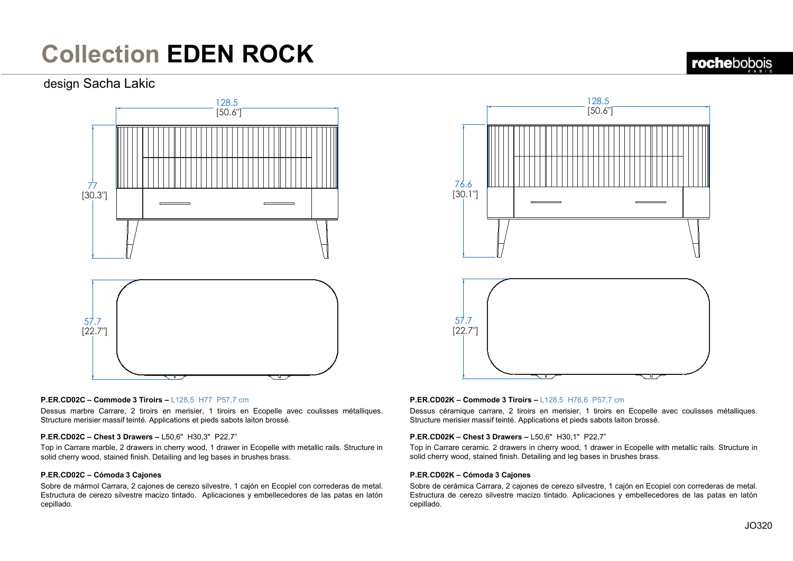### design Sacha Lakic





#### **P.ER.CD02C – Commode 3 Tiroirs –** L128,5 H77 P57,7 cm

Dessus marbre Carrare, 2 tiroirs en merisier, 1 tiroirs en Ecopelle avec coulisses métalliques. Structure merisier massif teinté. Applications et pieds sabots laiton brossé.

#### **P.ER.CD02C – Chest 3 Drawers –** L50,6" H30,3" P22,7"

Top in Carrare marble, 2 drawers in cherry wood, 1 drawer in Ecopelle with metallic rails. Structure in solid cherry wood, stained finish. Detailing and leg bases in brushes brass.

### **P.ER.CD02C – Cómoda 3 Cajones**

Sobre de mármol Carrara, 2 cajones de cerezo silvestre, 1 cajón en Ecopiel con correderas de metal. Estructura de cerezo silvestre macizo tintado. Aplicaciones y embellecedores de las patas en latón cepillado.

#### **P.ER.CD02K – Commode 3 Tiroirs –** L128,5 H76,6 P57,7 cm

Dessus céramique carrare, 2 tiroirs en merisier, 1 tiroirs en Ecopelle avec coulisses métalliques. Structure merisier massif teinté. Applications et pieds sabots laiton brossé.

### **P.ER.CD02K – Chest 3 Drawers –** L50,6" H30,1" P22,7"

Top in Carrare ceramic. 2 drawers in cherry wood, 1 drawer in Ecopelle with metallic rails. Structure in solid cherry wood, stained finish. Detailing and leg bases in brushes brass.

### **P.ER.CD02K – Cómoda 3 Cajones**

Sobre de cerámica Carrara, 2 cajones de cerezo silvestre, 1 cajón en Ecopiel con correderas de metal. Estructura de cerezo silvestre macizo tintado. Aplicaciones y embellecedores de las patas en latón cepillado.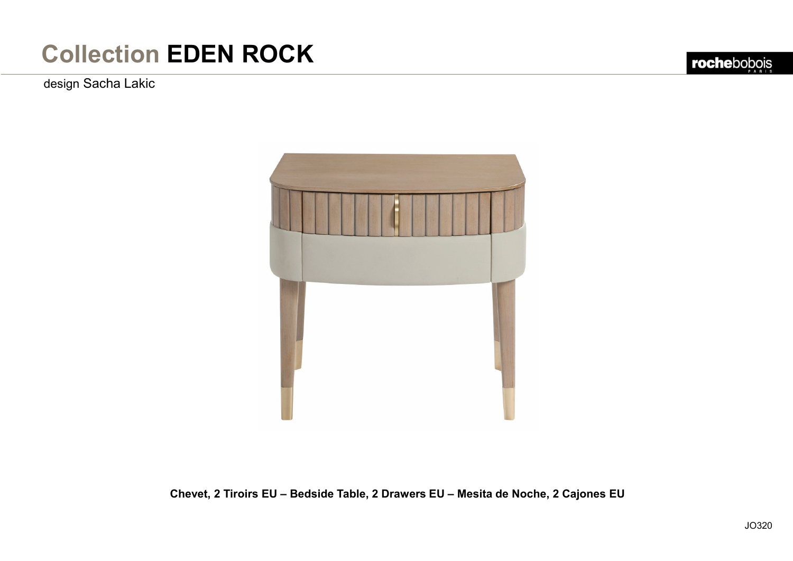design Sacha Lakic



**Chevet, 2 Tiroirs EU – Bedside Table, 2 Drawers EU – Mesita de Noche, 2 Cajones EU**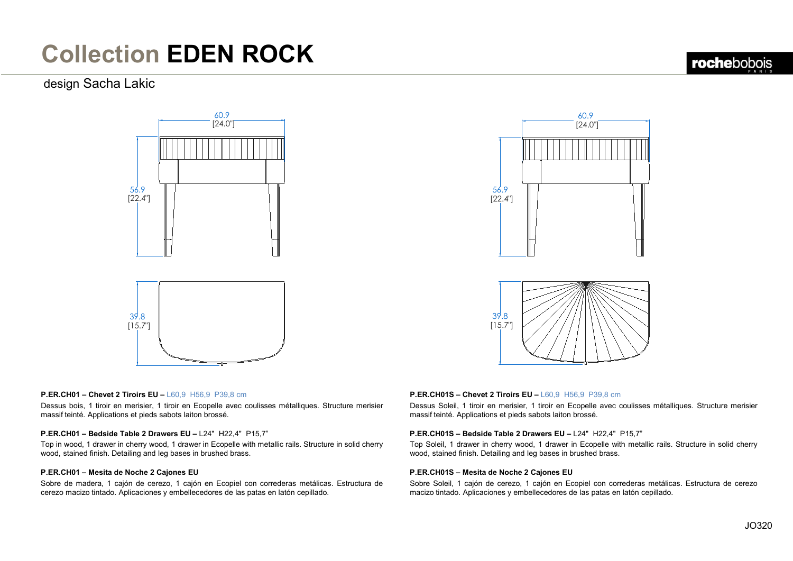### design Sacha Lakic





#### **P.ER.CH01 – Chevet 2 Tiroirs EU –** L60,9 H56,9 P39,8 cm

Dessus bois, 1 tiroir en merisier, 1 tiroir en Ecopelle avec coulisses métalliques. Structure merisier massif teinté. Applications et pieds sabots laiton brossé.

#### **P.ER.CH01 – Bedside Table 2 Drawers EU –** L24" H22,4" P15,7"

Top in wood, 1 drawer in cherry wood, 1 drawer in Ecopelle with metallic rails. Structure in solid cherry wood, stained finish. Detailing and leg bases in brushed brass.

### **P.ER.CH01 – Mesita de Noche 2 Cajones EU**

Sobre de madera, 1 cajón de cerezo, 1 cajón en Ecopiel con correderas metálicas. Estructura de cerezo macizo tintado. Aplicaciones y embellecedores de las patas en latón cepillado.

#### **P.ER.CH01S – Chevet 2 Tiroirs EU –** L60,9 H56,9 P39,8 cm

Dessus Soleil, 1 tiroir en merisier, 1 tiroir en Ecopelle avec coulisses métalliques. Structure merisier massif teinté. Applications et pieds sabots laiton brossé.

#### **P.ER.CH01S – Bedside Table 2 Drawers EU –** L24" H22,4" P15,7"

Top Soleil, 1 drawer in cherry wood, 1 drawer in Ecopelle with metallic rails. Structure in solid cherry wood, stained finish. Detailing and leg bases in brushed brass.

#### **P.ER.CH01S – Mesita de Noche 2 Cajones EU**

Sobre Soleil, 1 cajón de cerezo, 1 cajón en Ecopiel con correderas metálicas. Estructura de cerezo macizo tintado. Aplicaciones y embellecedores de las patas en latón cepillado.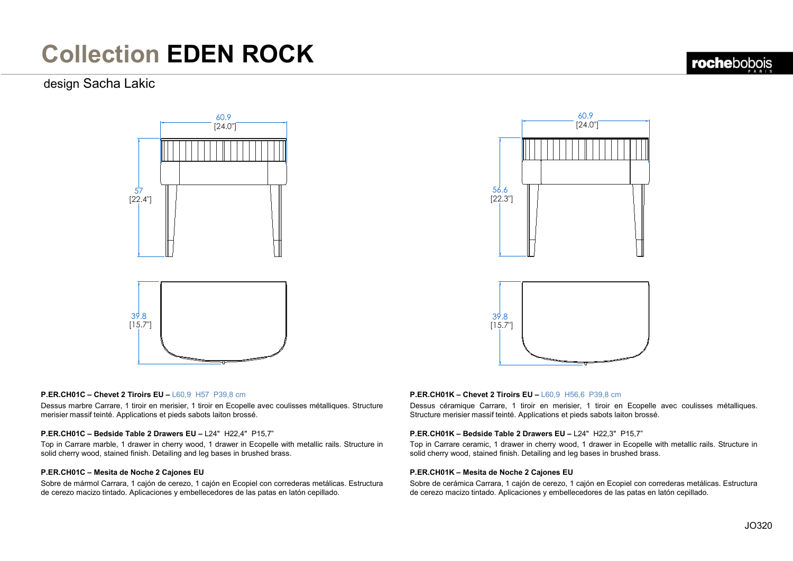### design Sacha Lakic





#### **P.ER.CH01C – Chevet 2 Tiroirs EU –** L60,9 H57 P39,8 cm

Dessus marbre Carrare, 1 tiroir en merisier, 1 tiroir en Ecopelle avec coulisses métalliques. Structure merisier massif teinté. Applications et pieds sabots laiton brossé.

### **P.ER.CH01C – Bedside Table 2 Drawers EU –** L24" H22,4" P15,7"

Top in Carrare marble, 1 drawer in cherry wood, 1 drawer in Ecopelle with metallic rails. Structure in solid cherry wood, stained finish. Detailing and leg bases in brushed brass.

### **P.ER.CH01C – Mesita de Noche 2 Cajones EU**

Sobre de mármol Carrara, 1 cajón de cerezo, 1 cajón en Ecopiel con correderas metálicas. Estructura de cerezo macizo tintado. Aplicaciones y embellecedores de las patas en latón cepillado.

### **P.ER.CH01K – Chevet 2 Tiroirs EU –** L60,9 H56,6 P39,8 cm

Dessus céramique Carrare, 1 tiroir en merisier, 1 tiroir en Ecopelle avec coulisses métalliques. Structure merisier massif teinté. Applications et pieds sabots laiton brossé.

#### **P.ER.CH01K – Bedside Table 2 Drawers EU –** L24" H22,3" P15,7"

Top in Carrare ceramic, 1 drawer in cherry wood, 1 drawer in Ecopelle with metallic rails. Structure in solid cherry wood, stained finish. Detailing and leg bases in brushed brass.

#### **P.ER.CH01K – Mesita de Noche 2 Cajones EU**

Sobre de cerámica Carrara, 1 cajón de cerezo, 1 cajón en Ecopiel con correderas metálicas. Estructura de cerezo macizo tintado. Aplicaciones y embellecedores de las patas en latón cepillado.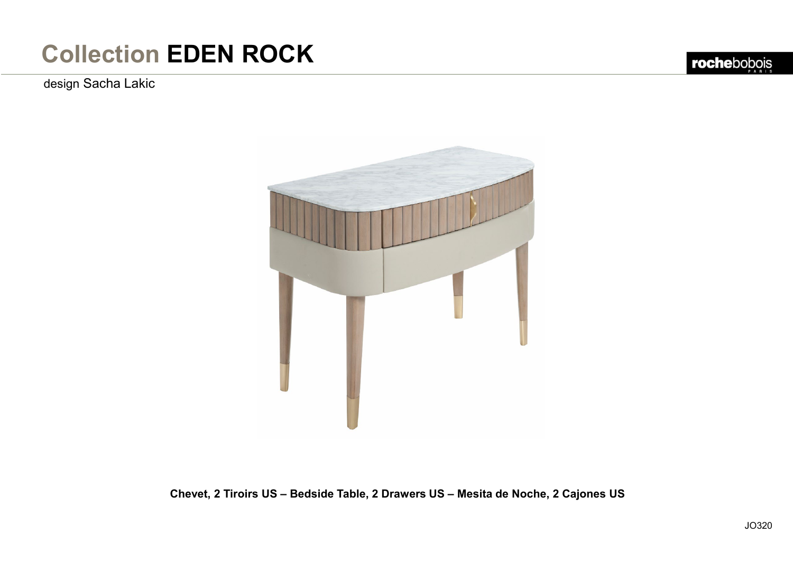design Sacha Lakic

rochebobois



**Chevet, 2 Tiroirs US – Bedside Table, 2 Drawers US – Mesita de Noche, 2 Cajones US**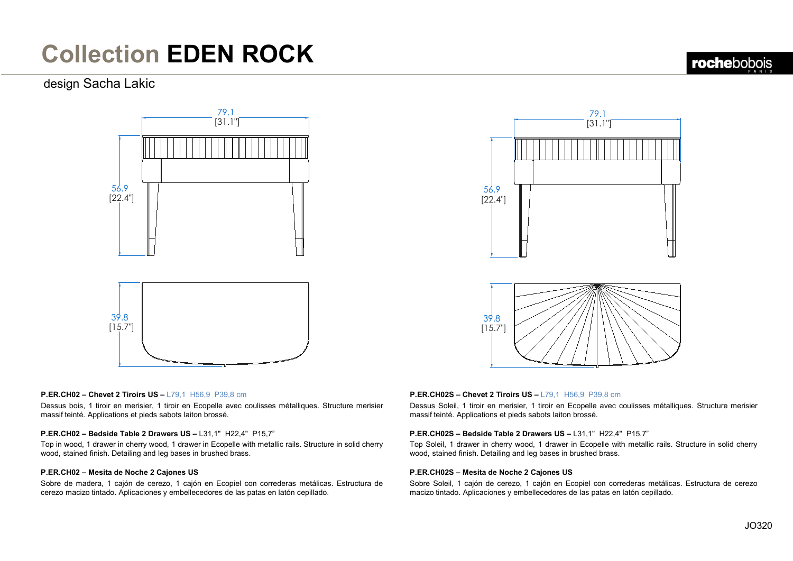### design Sacha Lakic





### **P.ER.CH02 – Chevet 2 Tiroirs US –** L79,1 H56,9 P39,8 cm

Dessus bois, 1 tiroir en merisier, 1 tiroir en Ecopelle avec coulisses métalliques. Structure merisier massif teinté. Applications et pieds sabots laiton brossé.

#### **P.ER.CH02 – Bedside Table 2 Drawers US –** L31,1" H22,4" P15,7"

Top in wood, 1 drawer in cherry wood, 1 drawer in Ecopelle with metallic rails. Structure in solid cherry wood, stained finish. Detailing and leg bases in brushed brass.

### **P.ER.CH02 – Mesita de Noche 2 Cajones US**

Sobre de madera, 1 cajón de cerezo, 1 cajón en Ecopiel con correderas metálicas. Estructura de cerezo macizo tintado. Aplicaciones y embellecedores de las patas en latón cepillado.

### **P.ER.CH02S – Chevet 2 Tiroirs US –** L79,1 H56,9 P39,8 cm

Dessus Soleil, 1 tiroir en merisier, 1 tiroir en Ecopelle avec coulisses métalliques. Structure merisier massif teinté. Applications et pieds sabots laiton brossé.

### **P.ER.CH02S – Bedside Table 2 Drawers US –** L31,1" H22,4" P15,7"

Top Soleil, 1 drawer in cherry wood, 1 drawer in Ecopelle with metallic rails. Structure in solid cherry wood, stained finish. Detailing and leg bases in brushed brass.

### **P.ER.CH02S – Mesita de Noche 2 Cajones US**

Sobre Soleil, 1 cajón de cerezo, 1 cajón en Ecopiel con correderas metálicas. Estructura de cerezo macizo tintado. Aplicaciones y embellecedores de las patas en latón cepillado.